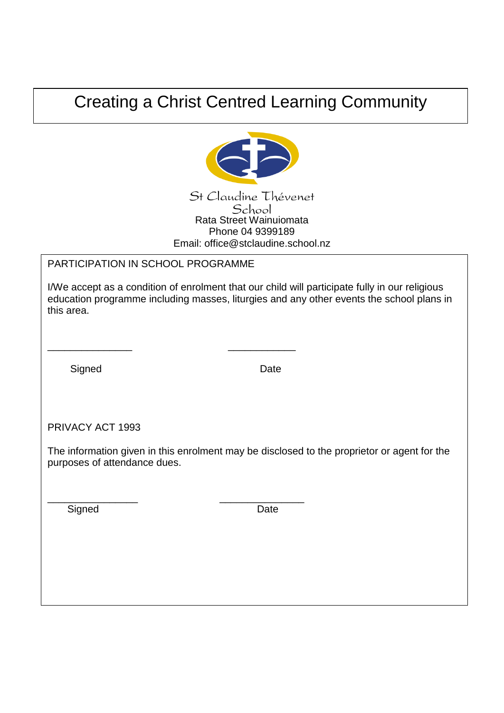## Creating a Christ Centred Learning Community



## PARTICIPATION IN SCHOOL PROGRAMME

\_\_\_\_\_\_\_\_\_\_\_\_\_\_\_ \_\_\_\_\_\_\_\_\_\_\_\_

\_\_\_\_\_\_\_\_\_\_\_\_\_\_\_\_ \_\_\_\_\_\_\_\_\_\_\_\_\_\_\_

 I/We accept as a condition of enrolment that our child will participate fully in our religious education programme including masses, liturgies and any other events the school plans in this area.

Signed Date

PRIVACY ACT 1993

The information given in this enrolment may be disclosed to the proprietor or agent for the purposes of attendance dues.

Signed Date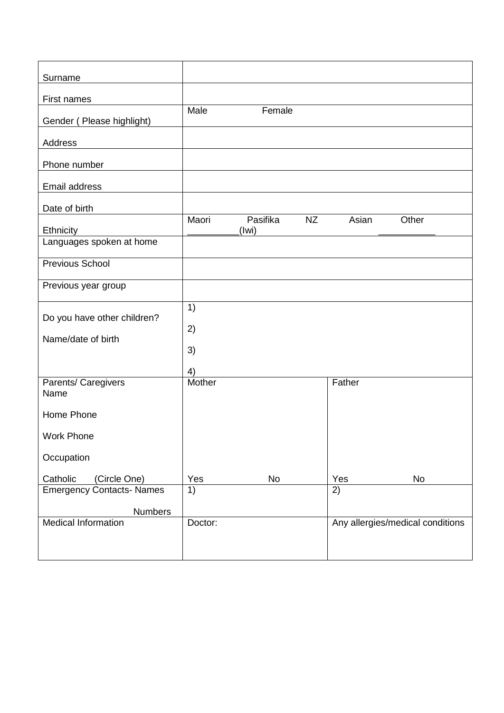| Surname                               |         |                   |           |        |                                  |
|---------------------------------------|---------|-------------------|-----------|--------|----------------------------------|
| First names                           |         |                   |           |        |                                  |
|                                       | Male    | Female            |           |        |                                  |
| Gender (Please highlight)             |         |                   |           |        |                                  |
| Address                               |         |                   |           |        |                                  |
| Phone number                          |         |                   |           |        |                                  |
| Email address                         |         |                   |           |        |                                  |
|                                       |         |                   |           |        |                                  |
| Date of birth                         |         |                   |           |        |                                  |
|                                       | Maori   | Pasifika<br>(Iwi) | <b>NZ</b> | Asian  | Other                            |
| Ethnicity<br>Languages spoken at home |         |                   |           |        |                                  |
|                                       |         |                   |           |        |                                  |
| <b>Previous School</b>                |         |                   |           |        |                                  |
| Previous year group                   |         |                   |           |        |                                  |
|                                       | 1)      |                   |           |        |                                  |
| Do you have other children?           |         |                   |           |        |                                  |
| Name/date of birth                    | 2)      |                   |           |        |                                  |
|                                       | 3)      |                   |           |        |                                  |
|                                       |         |                   |           |        |                                  |
|                                       | 4)      |                   |           |        |                                  |
| Parents/ Caregivers                   | Mother  |                   |           | Father |                                  |
| Name                                  |         |                   |           |        |                                  |
| Home Phone                            |         |                   |           |        |                                  |
| <b>Work Phone</b>                     |         |                   |           |        |                                  |
|                                       |         |                   |           |        |                                  |
| Occupation                            |         |                   |           |        |                                  |
| Catholic<br>(Circle One)              | Yes     | No                |           | Yes    | No                               |
| <b>Emergency Contacts-Names</b>       | 1)      |                   |           | 2)     |                                  |
|                                       |         |                   |           |        |                                  |
| <b>Numbers</b>                        |         |                   |           |        |                                  |
| <b>Medical Information</b>            | Doctor: |                   |           |        | Any allergies/medical conditions |
|                                       |         |                   |           |        |                                  |
|                                       |         |                   |           |        |                                  |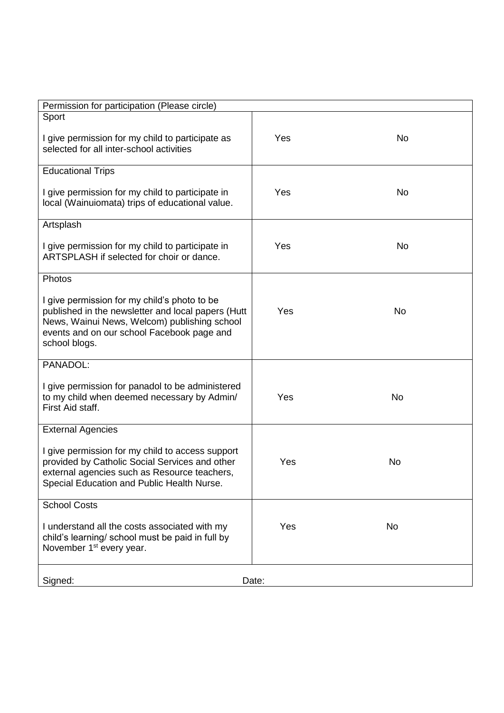| Permission for participation (Please circle)                                                                                                                                                                      |       |           |
|-------------------------------------------------------------------------------------------------------------------------------------------------------------------------------------------------------------------|-------|-----------|
| Sport                                                                                                                                                                                                             |       |           |
| I give permission for my child to participate as<br>selected for all inter-school activities                                                                                                                      | Yes   | <b>No</b> |
| <b>Educational Trips</b>                                                                                                                                                                                          |       |           |
| I give permission for my child to participate in<br>local (Wainuiomata) trips of educational value.                                                                                                               | Yes   | <b>No</b> |
| Artsplash                                                                                                                                                                                                         |       |           |
| I give permission for my child to participate in<br>ARTSPLASH if selected for choir or dance.                                                                                                                     | Yes   | <b>No</b> |
| Photos                                                                                                                                                                                                            |       |           |
| I give permission for my child's photo to be<br>published in the newsletter and local papers (Hutt<br>News, Wainui News, Welcom) publishing school<br>events and on our school Facebook page and<br>school blogs. | Yes   | <b>No</b> |
| PANADOL:                                                                                                                                                                                                          |       |           |
| I give permission for panadol to be administered<br>to my child when deemed necessary by Admin/<br>First Aid staff.                                                                                               | Yes   | No        |
| <b>External Agencies</b>                                                                                                                                                                                          |       |           |
| I give permission for my child to access support<br>provided by Catholic Social Services and other<br>external agencies such as Resource teachers,<br>Special Education and Public Health Nurse.                  | Yes   | <b>No</b> |
| <b>School Costs</b>                                                                                                                                                                                               |       |           |
| I understand all the costs associated with my<br>child's learning/ school must be paid in full by<br>November 1 <sup>st</sup> every year.                                                                         | Yes   | No        |
| Signed:                                                                                                                                                                                                           | Date: |           |
|                                                                                                                                                                                                                   |       |           |